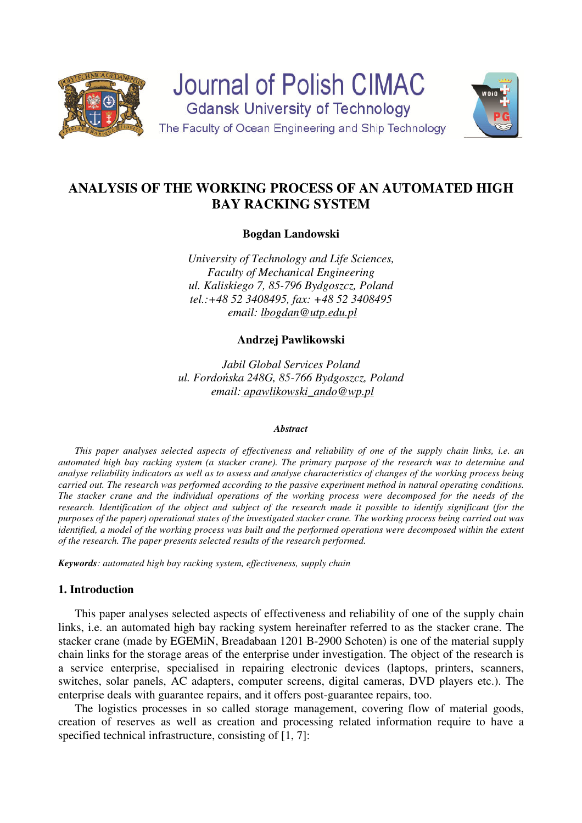

**Journal of Polish CIMAC Gdansk University of Technology** The Faculty of Ocean Engineering and Ship Technology



# **ANALYSIS OF THE WORKING PROCESS OF AN AUTOMATED HIGH BAY RACKING SYSTEM**

**Bogdan Landowski** 

*University of Technology and Life Sciences, Faculty of Mechanical Engineering ul. Kaliskiego 7, 85-796 Bydgoszcz, Poland tel.:+48 52 3408495, fax: +48 52 3408495 email: lbogdan@utp.edu.pl* 

**Andrzej Pawlikowski** 

*Jabil Global Services Poland ul. Fordońska 248G, 85-766 Bydgoszcz, Poland email: apawlikowski\_ando@wp.pl* 

#### *Abstract*

*This paper analyses selected aspects of effectiveness and reliability of one of the supply chain links, i.e. an automated high bay racking system (a stacker crane). The primary purpose of the research was to determine and analyse reliability indicators as well as to assess and analyse characteristics of changes of the working process being carried out. The research was performed according to the passive experiment method in natural operating conditions. The stacker crane and the individual operations of the working process were decomposed for the needs of the research. Identification of the object and subject of the research made it possible to identify significant (for the purposes of the paper) operational states of the investigated stacker crane. The working process being carried out was identified, a model of the working process was built and the performed operations were decomposed within the extent of the research. The paper presents selected results of the research performed.* 

*Keywords: automated high bay racking system, effectiveness, supply chain*

### **1. Introduction**

This paper analyses selected aspects of effectiveness and reliability of one of the supply chain links, i.e. an automated high bay racking system hereinafter referred to as the stacker crane. The stacker crane (made by EGEMiN, Breadabaan 1201 B-2900 Schoten) is one of the material supply chain links for the storage areas of the enterprise under investigation. The object of the research is a service enterprise, specialised in repairing electronic devices (laptops, printers, scanners, switches, solar panels, AC adapters, computer screens, digital cameras, DVD players etc.). The enterprise deals with guarantee repairs, and it offers post-guarantee repairs, too.

The logistics processes in so called storage management, covering flow of material goods, creation of reserves as well as creation and processing related information require to have a specified technical infrastructure, consisting of [1, 7]: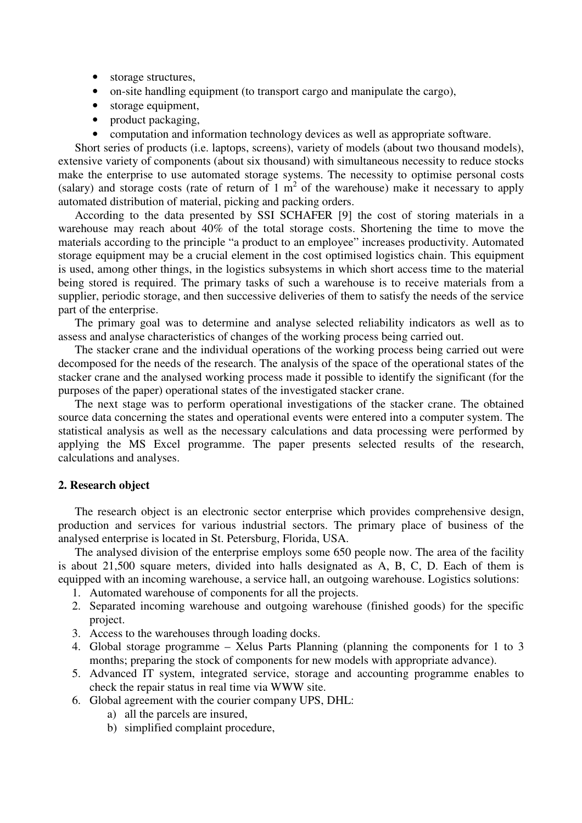- storage structures,
- on-site handling equipment (to transport cargo and manipulate the cargo),
- storage equipment,
- product packaging,
- computation and information technology devices as well as appropriate software.

Short series of products (i.e. laptops, screens), variety of models (about two thousand models), extensive variety of components (about six thousand) with simultaneous necessity to reduce stocks make the enterprise to use automated storage systems. The necessity to optimise personal costs (salary) and storage costs (rate of return of  $1 \text{ m}^2$  of the warehouse) make it necessary to apply automated distribution of material, picking and packing orders.

According to the data presented by SSI SCHAFER [9] the cost of storing materials in a warehouse may reach about 40% of the total storage costs. Shortening the time to move the materials according to the principle "a product to an employee" increases productivity. Automated storage equipment may be a crucial element in the cost optimised logistics chain. This equipment is used, among other things, in the logistics subsystems in which short access time to the material being stored is required. The primary tasks of such a warehouse is to receive materials from a supplier, periodic storage, and then successive deliveries of them to satisfy the needs of the service part of the enterprise.

The primary goal was to determine and analyse selected reliability indicators as well as to assess and analyse characteristics of changes of the working process being carried out.

The stacker crane and the individual operations of the working process being carried out were decomposed for the needs of the research. The analysis of the space of the operational states of the stacker crane and the analysed working process made it possible to identify the significant (for the purposes of the paper) operational states of the investigated stacker crane.

The next stage was to perform operational investigations of the stacker crane. The obtained source data concerning the states and operational events were entered into a computer system. The statistical analysis as well as the necessary calculations and data processing were performed by applying the MS Excel programme. The paper presents selected results of the research, calculations and analyses.

#### **2. Research object**

The research object is an electronic sector enterprise which provides comprehensive design, production and services for various industrial sectors. The primary place of business of the analysed enterprise is located in St. Petersburg, Florida, USA.

The analysed division of the enterprise employs some 650 people now. The area of the facility is about 21,500 square meters, divided into halls designated as A, B, C, D. Each of them is equipped with an incoming warehouse, a service hall, an outgoing warehouse. Logistics solutions:

- 1. Automated warehouse of components for all the projects.
- 2. Separated incoming warehouse and outgoing warehouse (finished goods) for the specific project.
- 3. Access to the warehouses through loading docks.
- 4. Global storage programme Xelus Parts Planning (planning the components for 1 to 3 months; preparing the stock of components for new models with appropriate advance).
- 5. Advanced IT system, integrated service, storage and accounting programme enables to check the repair status in real time via WWW site.
- 6. Global agreement with the courier company UPS, DHL:
	- a) all the parcels are insured,
	- b) simplified complaint procedure,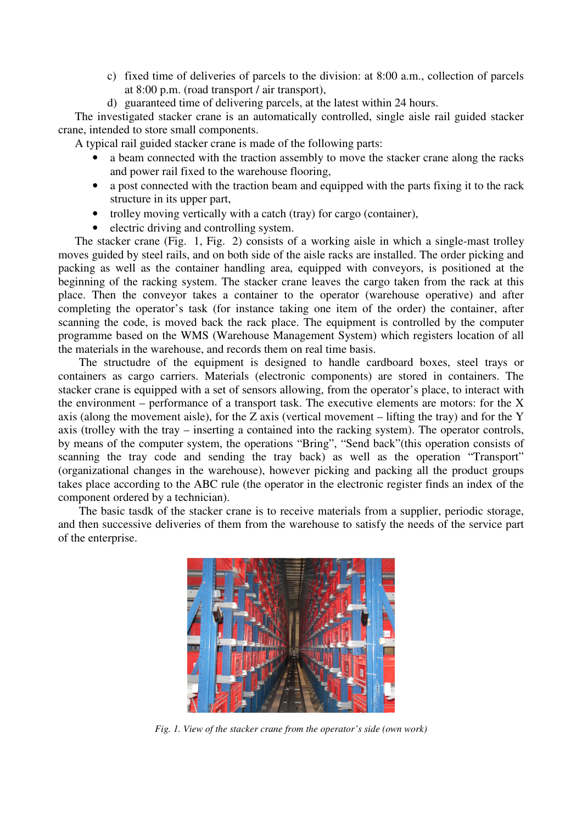- c) fixed time of deliveries of parcels to the division: at 8:00 a.m., collection of parcels at 8:00 p.m. (road transport / air transport),
- d) guaranteed time of delivering parcels, at the latest within 24 hours.

The investigated stacker crane is an automatically controlled, single aisle rail guided stacker crane, intended to store small components.

A typical rail guided stacker crane is made of the following parts:

- a beam connected with the traction assembly to move the stacker crane along the racks and power rail fixed to the warehouse flooring,
- a post connected with the traction beam and equipped with the parts fixing it to the rack structure in its upper part,
- trolley moving vertically with a catch (tray) for cargo (container),
- electric driving and controlling system.

The stacker crane (Fig. 1, Fig. 2) consists of a working aisle in which a single-mast trolley moves guided by steel rails, and on both side of the aisle racks are installed. The order picking and packing as well as the container handling area, equipped with conveyors, is positioned at the beginning of the racking system. The stacker crane leaves the cargo taken from the rack at this place. Then the conveyor takes a container to the operator (warehouse operative) and after completing the operator's task (for instance taking one item of the order) the container, after scanning the code, is moved back the rack place. The equipment is controlled by the computer programme based on the WMS (Warehouse Management System) which registers location of all the materials in the warehouse, and records them on real time basis.

The structudre of the equipment is designed to handle cardboard boxes, steel trays or containers as cargo carriers. Materials (electronic components) are stored in containers. The stacker crane is equipped with a set of sensors allowing, from the operator's place, to interact with the environment – performance of a transport task. The executive elements are motors: for the  $X$ axis (along the movement aisle), for the Z axis (vertical movement – lifting the tray) and for the Y axis (trolley with the tray – inserting a contained into the racking system). The operator controls, by means of the computer system, the operations "Bring", "Send back"(this operation consists of scanning the tray code and sending the tray back) as well as the operation "Transport" (organizational changes in the warehouse), however picking and packing all the product groups takes place according to the ABC rule (the operator in the electronic register finds an index of the component ordered by a technician).

The basic tasdk of the stacker crane is to receive materials from a supplier, periodic storage, and then successive deliveries of them from the warehouse to satisfy the needs of the service part of the enterprise.



*Fig. 1. View of the stacker crane from the operator's side (own work)*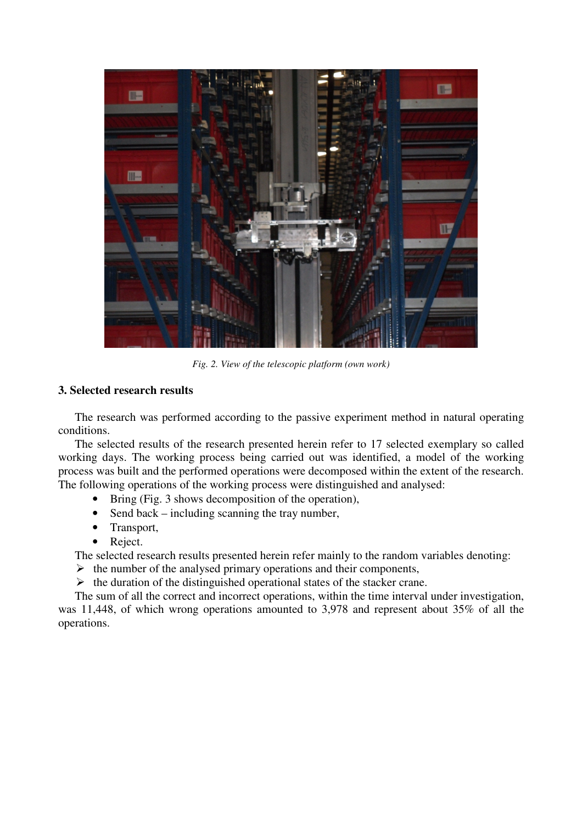

*Fig. 2. View of the telescopic platform (own work)* 

#### **3. Selected research results**

The research was performed according to the passive experiment method in natural operating conditions.

The selected results of the research presented herein refer to 17 selected exemplary so called working days. The working process being carried out was identified, a model of the working process was built and the performed operations were decomposed within the extent of the research. The following operations of the working process were distinguished and analysed:

- Bring (Fig. 3 shows decomposition of the operation),
- Send back including scanning the tray number,
- Transport,
- Reject.

The selected research results presented herein refer mainly to the random variables denoting:

- $\triangleright$  the number of the analysed primary operations and their components,
- $\triangleright$  the duration of the distinguished operational states of the stacker crane.

The sum of all the correct and incorrect operations, within the time interval under investigation, was 11,448, of which wrong operations amounted to 3,978 and represent about 35% of all the operations.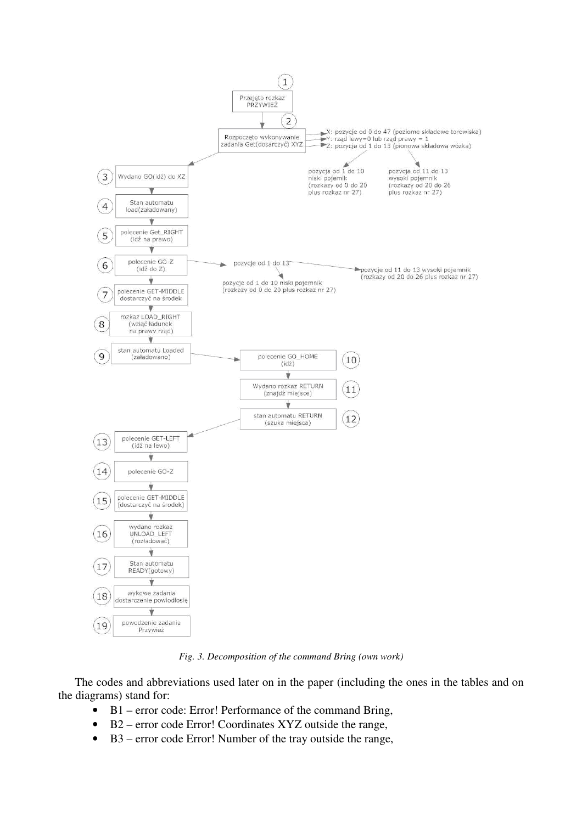

*Fig. 3. Decomposition of the command Bring (own work)* 

The codes and abbreviations used later on in the paper (including the ones in the tables and on the diagrams) stand for:

- B1 error code: Error! Performance of the command Bring,
- B2 error code Error! Coordinates XYZ outside the range,
- B3 error code Error! Number of the tray outside the range,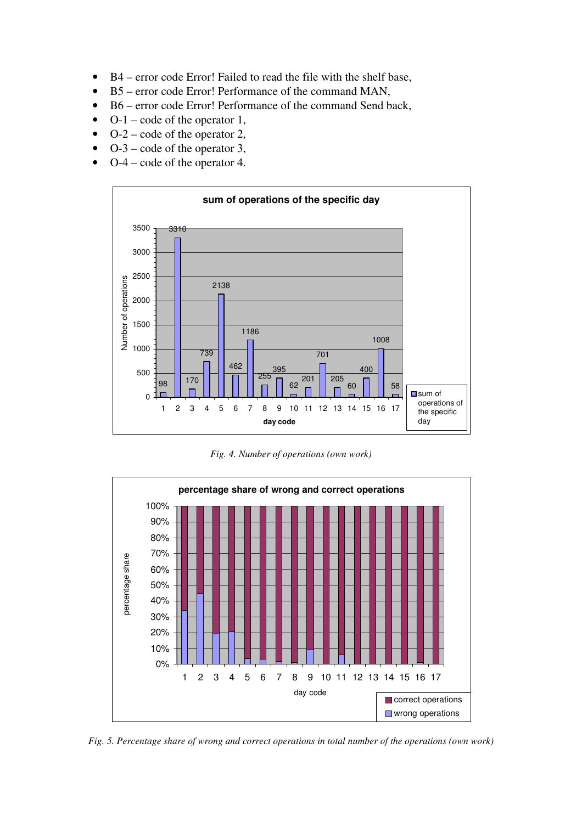- B4 error code Error! Failed to read the file with the shelf base,
- B5 error code Error! Performance of the command MAN,
- B6 error code Error! Performance of the command Send back,
- $O-1$  code of the operator 1,
- $O-2$  code of the operator 2,
- $O-3$  code of the operator 3,
- O-4 code of the operator 4.



*Fig. 4. Number of operations (own work)* 



*Fig. 5. Percentage share of wrong and correct operations in total number of the operations (own work)*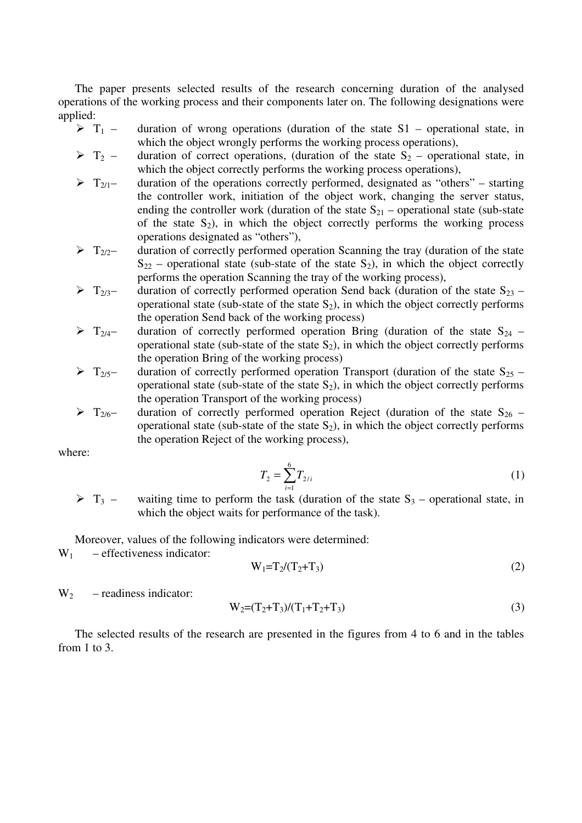The paper presents selected results of the research concerning duration of the analysed operations of the working process and their components later on. The following designations were applied:

- $\triangleright$  T<sub>1</sub> duration of wrong operations (duration of the state S1 operational state, in which the object wrongly performs the working process operations),
- $\triangleright$  T<sub>2</sub> duration of correct operations, (duration of the state S<sub>2</sub> operational state, in which the object correctly performs the working process operations),
- $\triangleright$  T<sub>2/1</sub> duration of the operations correctly performed, designated as "others" starting the controller work, initiation of the object work, changing the server status, ending the controller work (duration of the state  $S_{21}$  – operational state (sub-state of the state  $S_2$ ), in which the object correctly performs the working process operations designated as "others"),
- $\triangleright$   $T_{2/2}$  duration of correctly performed operation Scanning the tray (duration of the state  $S_{22}$  – operational state (sub-state of the state  $S_2$ ), in which the object correctly performs the operation Scanning the tray of the working process),
- $\triangleright$  T<sub>2/3</sub> duration of correctly performed operation Send back (duration of the state S<sub>23</sub> operational state (sub-state of the state  $S_2$ ), in which the object correctly performs the operation Send back of the working process)
- $\triangleright$  T<sub>2/4</sub> duration of correctly performed operation Bring (duration of the state S<sub>24</sub> operational state (sub-state of the state  $S_2$ ), in which the object correctly performs the operation Bring of the working process)
- $\triangleright$  T<sub>2/5</sub> duration of correctly performed operation Transport (duration of the state S<sub>25</sub> operational state (sub-state of the state  $S_2$ ), in which the object correctly performs the operation Transport of the working process)
- $\triangleright$  T<sub>2/6</sub> duration of correctly performed operation Reject (duration of the state S<sub>26</sub> operational state (sub-state of the state  $S_2$ ), in which the object correctly performs the operation Reject of the working process),

where:

$$
T_2 = \sum_{i=1}^{6} T_{2/i} \tag{1}
$$

 $\triangleright$  T<sub>3</sub> – waiting time to perform the task (duration of the state S<sub>3</sub> – operational state, in which the object waits for performance of the task).

Moreover, values of the following indicators were determined:

 $W_1$  – effectiveness indicator:

$$
W_1 = T_2 / (T_2 + T_3)
$$
 (2)

 $W_2$  – readiness indicator:

$$
W_2 = (T_2 + T_3)/(T_1 + T_2 + T_3)
$$
\n(3)

The selected results of the research are presented in the figures from 4 to 6 and in the tables from 1 to 3.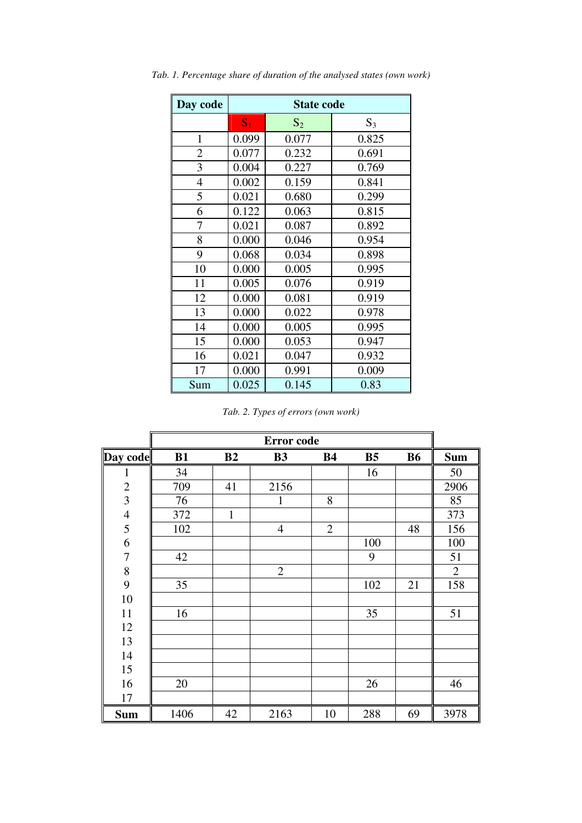| Day code       | <b>State code</b> |       |       |  |  |  |  |  |
|----------------|-------------------|-------|-------|--|--|--|--|--|
|                | S <sub>1</sub>    | $S_2$ | $S_3$ |  |  |  |  |  |
| $\mathbf{1}$   | 0.099             | 0.077 | 0.825 |  |  |  |  |  |
| $\overline{2}$ | 0.077             | 0.232 | 0.691 |  |  |  |  |  |
| 3              | 0.004             | 0.227 | 0.769 |  |  |  |  |  |
| $\overline{4}$ | 0.002             | 0.159 | 0.841 |  |  |  |  |  |
| 5              | 0.021             | 0.680 | 0.299 |  |  |  |  |  |
| 6              | 0.122             | 0.063 | 0.815 |  |  |  |  |  |
| 7              | 0.021             | 0.087 | 0.892 |  |  |  |  |  |
| 8              | 0.000             | 0.046 | 0.954 |  |  |  |  |  |
| 9              | 0.068             | 0.034 | 0.898 |  |  |  |  |  |
| 10             | 0.000             | 0.005 | 0.995 |  |  |  |  |  |
| 11             | 0.005             | 0.076 | 0.919 |  |  |  |  |  |
| 12             | 0.000             | 0.081 | 0.919 |  |  |  |  |  |
| 13             | 0.000             | 0.022 | 0.978 |  |  |  |  |  |
| 14             | 0.000             | 0.005 | 0.995 |  |  |  |  |  |
| 15             | 0.000             | 0.053 | 0.947 |  |  |  |  |  |
| 16             | 0.021             | 0.047 | 0.932 |  |  |  |  |  |
| 17             | 0.000             | 0.991 | 0.009 |  |  |  |  |  |
| Sum            | 0.025             | 0.145 | 0.83  |  |  |  |  |  |

*Tab. 1. Percentage share of duration of the analysed states (own work)* 

|                  | Error code |              |                |                |                |           |                |  |  |
|------------------|------------|--------------|----------------|----------------|----------------|-----------|----------------|--|--|
| Day code         | B1         | B2           | <b>B3</b>      | <b>B4</b>      | B <sub>5</sub> | <b>B6</b> | <b>Sum</b>     |  |  |
| 1                | 34         |              |                |                | 16             |           | 50             |  |  |
| $\overline{2}$   | 709        | 41           | 2156           |                |                |           | 2906           |  |  |
| 3                | 76         |              | 1              | 8              |                |           | 85             |  |  |
| $\overline{4}$   | 372        | $\mathbf{1}$ |                |                |                |           | 373            |  |  |
| 5                | 102        |              | $\overline{4}$ | $\overline{2}$ |                | 48        | 156            |  |  |
| 6                |            |              |                |                | 100            |           | 100            |  |  |
| $\boldsymbol{7}$ | 42         |              |                |                | 9              |           | 51             |  |  |
| 8                |            |              | $\overline{2}$ |                |                |           | $\overline{2}$ |  |  |
| 9                | 35         |              |                |                | 102            | 21        | 158            |  |  |
| 10               |            |              |                |                |                |           |                |  |  |
| 11               | 16         |              |                |                | 35             |           | 51             |  |  |
| 12               |            |              |                |                |                |           |                |  |  |
| 13               |            |              |                |                |                |           |                |  |  |
| 14               |            |              |                |                |                |           |                |  |  |
| 15               |            |              |                |                |                |           |                |  |  |
| 16               | 20         |              |                |                | 26             |           | 46             |  |  |
| 17               |            |              |                |                |                |           |                |  |  |
| <b>Sum</b>       | 1406       | 42           | 2163           | 10             | 288            | 69        | 3978           |  |  |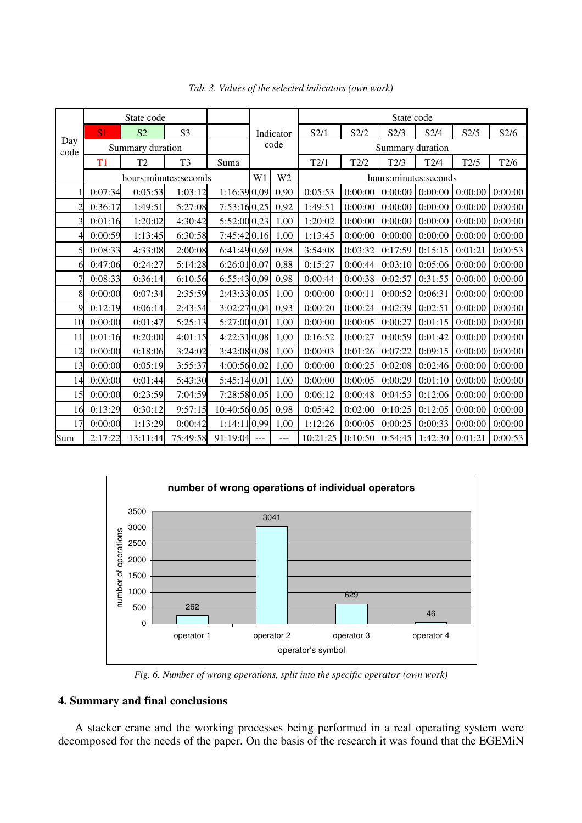| Day<br>code | State code            |                |                |                |                | State code            |          |         |         |         |         |         |
|-------------|-----------------------|----------------|----------------|----------------|----------------|-----------------------|----------|---------|---------|---------|---------|---------|
|             | S <sub>1</sub>        | S <sub>2</sub> | S <sub>3</sub> |                | Indicator      |                       | S2/1     | S2/2    | S2/3    | S2/4    | S2/5    | S2/6    |
|             | Summary duration      |                |                | code           |                | Summary duration      |          |         |         |         |         |         |
|             | T <sub>1</sub>        | T <sub>2</sub> | T <sub>3</sub> | Suma           |                |                       | T2/1     | T2/2    | T2/3    | T2/4    | T2/5    | T2/6    |
|             | hours:minutes:seconds |                |                | W1             | W <sub>2</sub> | hours:minutes:seconds |          |         |         |         |         |         |
|             | 0:07:34               | 0:05:53        | 1:03:12        | 1:16:39 0,09   |                | 0,90                  | 0:05:53  | 0:00:00 | 0:00:00 | 0:00:00 | 0:00:00 | 0:00:00 |
| 2           | 0:36:17               | 1:49:51        | 5:27:08        | 7:53:160,25    |                | 0,92                  | 1:49:51  | 0:00:00 | 0:00:00 | 0:00:00 | 0:00:00 | 0:00:00 |
| 3           | 0:01:16               | 1:20:02        | 4:30:42        | 5:52:00 0,23   |                | 1,00                  | 1:20:02  | 0:00:00 | 0:00:00 | 0:00:00 | 0:00:00 | 0:00:00 |
| 4           | 0:00:59               | 1:13:45        | 6:30:58        | 7:45:420,16    |                | 1,00                  | 1:13:45  | 0:00:00 | 0:00:00 | 0:00:00 | 0:00:00 | 0:00:00 |
| 5           | 0:08:33               | 4:33:08        | 2:00:08        | 6:41:49 0,69   |                | 0,98                  | 3:54:08  | 0:03:32 | 0:17:59 | 0:15:15 | 0:01:21 | 0:00:53 |
| 61          | 0:47:06               | 0:24:27        | 5:14:28        | 6:26:01 0,07   |                | 0,88                  | 0:15:27  | 0:00:44 | 0:03:10 | 0:05:06 | 0:00:00 | 0:00:00 |
| 7           | 0:08:33               | 0:36:14        | 6:10:56        | 6:55:43 0,09   |                | 0,98                  | 0:00:44  | 0:00:38 | 0:02:57 | 0:31:55 | 0:00:00 | 0:00:00 |
| 8           | 0:00:00               | 0:07:34        | 2:35:59        | 2:43:33 0,05   |                | 1,00                  | 0:00:00  | 0:00:11 | 0:00:52 | 0:06:31 | 0:00:00 | 0:00:00 |
| 9           | 0:12:19               | 0:06:14        | 2:43:54        | 3:02:27 0,04   |                | 0,93                  | 0:00:20  | 0:00:24 | 0:02:39 | 0:02:51 | 0:00:00 | 0:00:00 |
| 10          | 0:00:00               | 0:01:47        | 5:25:13        | 5:27:00 0,01   |                | 1,00                  | 0:00:00  | 0:00:05 | 0:00:27 | 0:01:15 | 0:00:00 | 0:00:00 |
| 11          | 0:01:16               | 0:20:00        | 4:01:15        | 4:22:31 0,08   |                | 1,00                  | 0:16:52  | 0:00:27 | 0:00:59 | 0:01:42 | 0:00:00 | 0:00:00 |
| 12          | 0:00:00               | 0:18:06        | 3:24:02        | 3:42:08 0,08   |                | 1,00                  | 0:00:03  | 0:01:26 | 0:07:22 | 0:09:15 | 0:00:00 | 0:00:00 |
| 13          | 0:00:00               | 0:05:19        | 3:55:37        | 4:00:56 0,02   |                | 1,00                  | 0:00:00  | 0:00:25 | 0:02:08 | 0:02:46 | 0:00:00 | 0:00:00 |
| 14          | 0:00:00               | 0:01:44        | 5:43:30        | 5:45:140,01    |                | 1,00                  | 0:00:00  | 0:00:05 | 0:00:29 | 0:01:10 | 0:00:00 | 0:00:00 |
| 15          | 0:00:00               | 0:23:59        | 7:04:59        | 7:28:58 0,05   |                | 1,00                  | 0:06:12  | 0:00:48 | 0:04:53 | 0:12:06 | 0:00:00 | 0:00:00 |
| 16          | 0:13:29               | 0:30:12        | 9:57:15        | 10:40:560,05   |                | 0,98                  | 0:05:42  | 0:02:00 | 0:10:25 | 0:12:05 | 0:00:00 | 0:00:00 |
| 17          | 0:00:00               | 1:13:29        | 0:00:42        | $1:14:11$ 0,99 |                | 1,00                  | 1:12:26  | 0:00:05 | 0:00:25 | 0:00:33 | 0:00:00 | 0:00:00 |
| Sum         | 2:17:22               | 13:11:44       | 75:49:58       | 91:19:04       | $\overline{a}$ | $ -$                  | 10:21:25 | 0:10:50 | 0:54:45 | 1:42:30 | 0:01:21 | 0:00:53 |

*Tab. 3. Values of the selected indicators (own work)* 



*Fig. 6. Number of wrong operations, split into the specific operator (own work)* 

## **4. Summary and final conclusions**

A stacker crane and the working processes being performed in a real operating system were decomposed for the needs of the paper. On the basis of the research it was found that the EGEMiN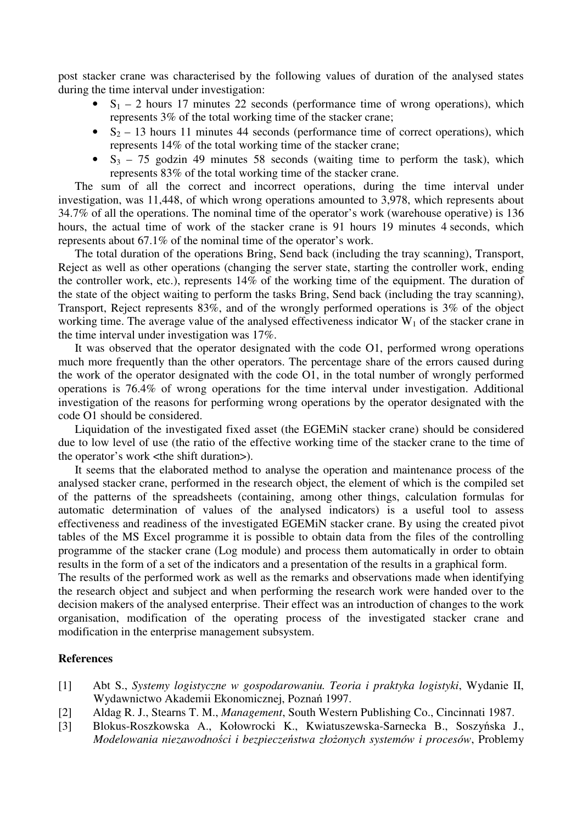post stacker crane was characterised by the following values of duration of the analysed states during the time interval under investigation:

- $S_1 2$  hours 17 minutes 22 seconds (performance time of wrong operations), which represents 3% of the total working time of the stacker crane;
- $S_2 13$  hours 11 minutes 44 seconds (performance time of correct operations), which represents 14% of the total working time of the stacker crane;
- $S_3$  75 godzin 49 minutes 58 seconds (waiting time to perform the task), which represents 83% of the total working time of the stacker crane.

The sum of all the correct and incorrect operations, during the time interval under investigation, was 11,448, of which wrong operations amounted to 3,978, which represents about 34.7% of all the operations. The nominal time of the operator's work (warehouse operative) is 136 hours, the actual time of work of the stacker crane is 91 hours 19 minutes 4 seconds, which represents about 67.1% of the nominal time of the operator's work.

The total duration of the operations Bring, Send back (including the tray scanning), Transport, Reject as well as other operations (changing the server state, starting the controller work, ending the controller work, etc.), represents 14% of the working time of the equipment. The duration of the state of the object waiting to perform the tasks Bring, Send back (including the tray scanning), Transport, Reject represents 83%, and of the wrongly performed operations is 3% of the object working time. The average value of the analysed effectiveness indicator  $W_1$  of the stacker crane in the time interval under investigation was 17%.

It was observed that the operator designated with the code O1, performed wrong operations much more frequently than the other operators. The percentage share of the errors caused during the work of the operator designated with the code O1, in the total number of wrongly performed operations is 76.4% of wrong operations for the time interval under investigation. Additional investigation of the reasons for performing wrong operations by the operator designated with the code O1 should be considered.

Liquidation of the investigated fixed asset (the EGEMiN stacker crane) should be considered due to low level of use (the ratio of the effective working time of the stacker crane to the time of the operator's work <the shift duration>).

It seems that the elaborated method to analyse the operation and maintenance process of the analysed stacker crane, performed in the research object, the element of which is the compiled set of the patterns of the spreadsheets (containing, among other things, calculation formulas for automatic determination of values of the analysed indicators) is a useful tool to assess effectiveness and readiness of the investigated EGEMiN stacker crane. By using the created pivot tables of the MS Excel programme it is possible to obtain data from the files of the controlling programme of the stacker crane (Log module) and process them automatically in order to obtain results in the form of a set of the indicators and a presentation of the results in a graphical form.

The results of the performed work as well as the remarks and observations made when identifying the research object and subject and when performing the research work were handed over to the decision makers of the analysed enterprise. Their effect was an introduction of changes to the work organisation, modification of the operating process of the investigated stacker crane and modification in the enterprise management subsystem.

#### **References**

- [1] Abt S., *Systemy logistyczne w gospodarowaniu. Teoria i praktyka logistyki*, Wydanie II, Wydawnictwo Akademii Ekonomicznej, Poznań 1997.
- [2] Aldag R. J., Stearns T. M., *Management*, South Western Publishing Co., Cincinnati 1987.
- [3] Blokus-Roszkowska A., Kołowrocki K., Kwiatuszewska-Sarnecka B., Soszyńska J., *Modelowania niezawodności i bezpieczeństwa złożonych systemów i procesów*, Problemy